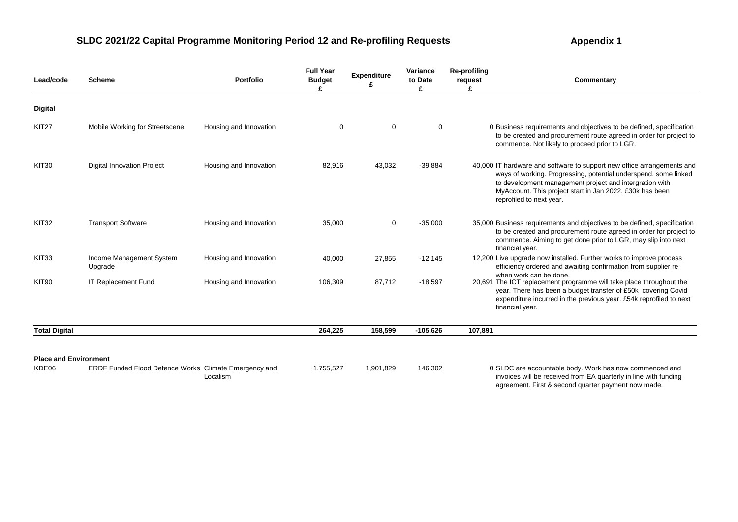| Lead/code                             | <b>Scheme</b>                                         | <b>Portfolio</b>       | <b>Full Year</b><br><b>Budget</b> | <b>Expenditure</b> | Variance<br>to Date<br>£ | <b>Re-profiling</b><br>request<br>£ | Commentary                                                                                                                                                                                                                                                                                   |
|---------------------------------------|-------------------------------------------------------|------------------------|-----------------------------------|--------------------|--------------------------|-------------------------------------|----------------------------------------------------------------------------------------------------------------------------------------------------------------------------------------------------------------------------------------------------------------------------------------------|
| <b>Digital</b>                        |                                                       |                        |                                   |                    |                          |                                     |                                                                                                                                                                                                                                                                                              |
| KIT27                                 | Mobile Working for Streetscene                        | Housing and Innovation | $\mathbf 0$                       | $\mathbf 0$        | $\mathbf 0$              |                                     | 0 Business requirements and objectives to be defined, specification<br>to be created and procurement route agreed in order for project to<br>commence. Not likely to proceed prior to LGR.                                                                                                   |
| <b>KIT30</b>                          | <b>Digital Innovation Project</b>                     | Housing and Innovation | 82,916                            | 43,032             | $-39,884$                |                                     | 40,000 IT hardware and software to support new office arrangements and<br>ways of working. Progressing, potential underspend, some linked<br>to development management project and intergration with<br>MyAccount. This project start in Jan 2022. £30k has been<br>reprofiled to next year. |
| KIT32                                 | <b>Transport Software</b>                             | Housing and Innovation | 35,000                            | $\mathbf 0$        | $-35,000$                |                                     | 35,000 Business requirements and objectives to be defined, specification<br>to be created and procurement route agreed in order for project to<br>commence. Aiming to get done prior to LGR, may slip into next<br>financial year.                                                           |
| KIT <sub>33</sub>                     | Income Management System<br>Upgrade                   | Housing and Innovation | 40,000                            | 27,855             | $-12,145$                |                                     | 12,200 Live upgrade now installed. Further works to improve process<br>efficiency ordered and awaiting confirmation from supplier re<br>when work can be done.                                                                                                                               |
| KIT <sub>90</sub>                     | IT Replacement Fund                                   | Housing and Innovation | 106,309                           | 87,712             | $-18,597$                |                                     | 20,691 The ICT replacement programme will take place throughout the<br>year. There has been a budget transfer of £50k covering Covid<br>expenditure incurred in the previous year. £54k reprofiled to next<br>financial year.                                                                |
| <b>Total Digital</b>                  |                                                       |                        | 264,225                           | 158,599            | $-105,626$               | 107,891                             |                                                                                                                                                                                                                                                                                              |
| <b>Place and Environment</b><br>KDE06 | ERDF Funded Flood Defence Works Climate Emergency and | Localism               | 1,755,527                         | 1,901,829          | 146,302                  |                                     | 0 SLDC are accountable body. Work has now commenced and<br>invoices will be received from EA quarterly in line with funding<br>agreement. First & second quarter payment now made.                                                                                                           |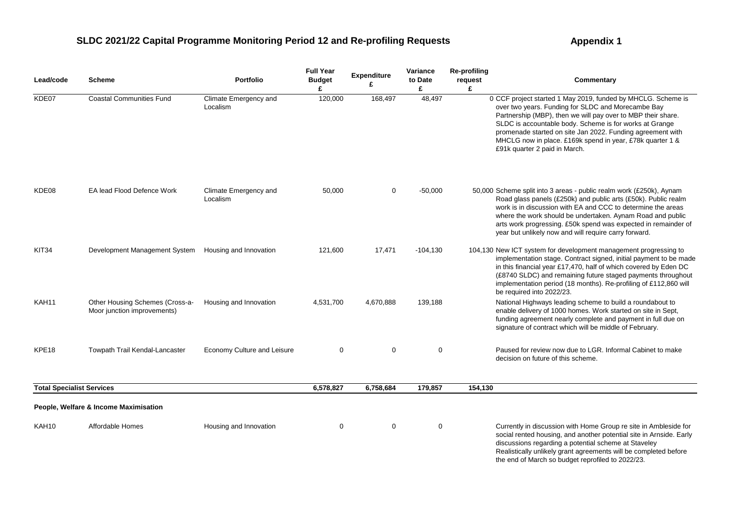| Lead/code                        | <b>Scheme</b>                                                  | <b>Portfolio</b>                  | <b>Full Year</b><br><b>Budget</b><br>£ | <b>Expenditure</b><br>£ | Variance<br>to Date<br>£ | <b>Re-profiling</b><br>request<br>£ | Commentary                                                                                                                                                                                                                                                                                                                                                                                                |
|----------------------------------|----------------------------------------------------------------|-----------------------------------|----------------------------------------|-------------------------|--------------------------|-------------------------------------|-----------------------------------------------------------------------------------------------------------------------------------------------------------------------------------------------------------------------------------------------------------------------------------------------------------------------------------------------------------------------------------------------------------|
| KDE07                            | <b>Coastal Communities Fund</b>                                | Climate Emergency and<br>Localism | 120,000                                | 168,497                 | 48,497                   |                                     | 0 CCF project started 1 May 2019, funded by MHCLG. Scheme is<br>over two years. Funding for SLDC and Morecambe Bay<br>Partnership (MBP), then we will pay over to MBP their share.<br>SLDC is accountable body. Scheme is for works at Grange<br>promenade started on site Jan 2022. Funding agreement with<br>MHCLG now in place. £169k spend in year, £78k quarter 1 &<br>£91k quarter 2 paid in March. |
| KDE08                            | EA lead Flood Defence Work                                     | Climate Emergency and<br>Localism | 50,000                                 | $\mathbf 0$             | $-50,000$                |                                     | 50,000 Scheme split into 3 areas - public realm work (£250k), Aynam<br>Road glass panels (£250k) and public arts (£50k). Public realm<br>work is in discussion with EA and CCC to determine the areas<br>where the work should be undertaken. Aynam Road and public<br>arts work progressing. £50k spend was expected in remainder of<br>year but unlikely now and will require carry forward.            |
| KIT34                            | Development Management System                                  | Housing and Innovation            | 121,600                                | 17,471                  | $-104,130$               |                                     | 104,130 New ICT system for development management progressing to<br>implementation stage. Contract signed, initial payment to be made<br>in this financial year £17,470, half of which covered by Eden DC<br>(£8740 SLDC) and remaining future staged payments throughout<br>implementation period (18 months). Re-profiling of £112,860 will<br>be required into 2022/23.                                |
| KAH11                            | Other Housing Schemes (Cross-a-<br>Moor junction improvements) | Housing and Innovation            | 4,531,700                              | 4,670,888               | 139,188                  |                                     | National Highways leading scheme to build a roundabout to<br>enable delivery of 1000 homes. Work started on site in Sept,<br>funding agreement nearly complete and payment in full due on<br>signature of contract which will be middle of February.                                                                                                                                                      |
| KPE <sub>18</sub>                | Towpath Trail Kendal-Lancaster                                 | Economy Culture and Leisure       | 0                                      | $\mathbf 0$             | 0                        |                                     | Paused for review now due to LGR. Informal Cabinet to make<br>decision on future of this scheme.                                                                                                                                                                                                                                                                                                          |
| <b>Total Specialist Services</b> |                                                                |                                   | 6,578,827                              | 6,758,684               | 179,857                  | 154,130                             |                                                                                                                                                                                                                                                                                                                                                                                                           |
|                                  | People, Welfare & Income Maximisation                          |                                   |                                        |                         |                          |                                     |                                                                                                                                                                                                                                                                                                                                                                                                           |
| KAH10                            | Affordable Homes                                               | Housing and Innovation            | 0                                      | $\mathbf 0$             | 0                        |                                     | Currently in discussion with Home Group re site in Ambleside for<br>social rented housing, and another potential site in Arnside. Early<br>discussions regarding a potential scheme at Staveley<br>Realistically unlikely grant agreements will be completed before<br>the end of March so budget reprofiled to 2022/23.                                                                                  |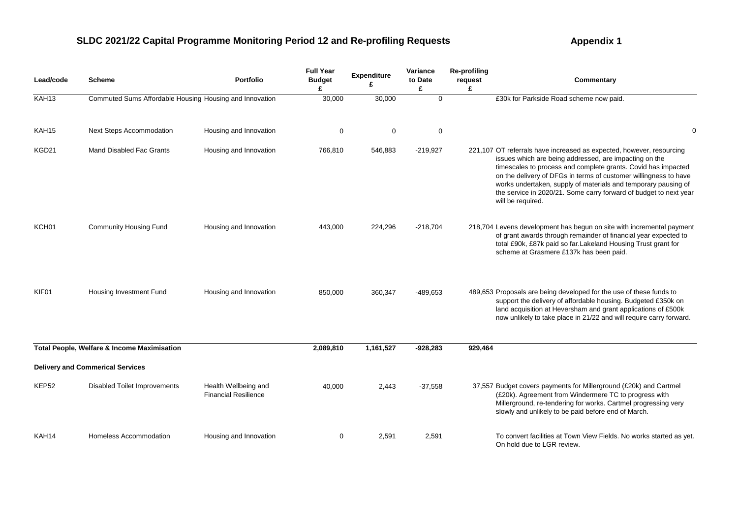| Lead/code         | <b>Scheme</b>                                           | <b>Portfolio</b>                                    | <b>Full Year</b><br><b>Budget</b><br>£ | Expenditure<br>ç | Variance<br>to Date<br>£ | <b>Re-profiling</b><br>request<br>£ | Commentary                                                                                                                                                                                                                                                                                                                                                                                                                      |
|-------------------|---------------------------------------------------------|-----------------------------------------------------|----------------------------------------|------------------|--------------------------|-------------------------------------|---------------------------------------------------------------------------------------------------------------------------------------------------------------------------------------------------------------------------------------------------------------------------------------------------------------------------------------------------------------------------------------------------------------------------------|
| KAH <sub>13</sub> | Commuted Sums Affordable Housing Housing and Innovation |                                                     | 30,000                                 | 30,000           | $\mathbf{0}$             |                                     | £30k for Parkside Road scheme now paid.                                                                                                                                                                                                                                                                                                                                                                                         |
| KAH15             | <b>Next Steps Accommodation</b>                         | Housing and Innovation                              | 0                                      | 0                | 0                        |                                     | $\mathbf 0$                                                                                                                                                                                                                                                                                                                                                                                                                     |
| KGD21             | Mand Disabled Fac Grants                                | Housing and Innovation                              | 766,810                                | 546,883          | $-219,927$               |                                     | 221,107 OT referrals have increased as expected, however, resourcing<br>issues which are being addressed, are impacting on the<br>timescales to process and complete grants. Covid has impacted<br>on the delivery of DFGs in terms of customer willingness to have<br>works undertaken, supply of materials and temporary pausing of<br>the service in 2020/21. Some carry forward of budget to next year<br>will be required. |
| KCH01             | <b>Community Housing Fund</b>                           | Housing and Innovation                              | 443,000                                | 224,296          | $-218,704$               |                                     | 218,704 Levens development has begun on site with incremental payment<br>of grant awards through remainder of financial year expected to<br>total £90k, £87k paid so far. Lakeland Housing Trust grant for<br>scheme at Grasmere £137k has been paid.                                                                                                                                                                           |
| KIF01             | Housing Investment Fund                                 | Housing and Innovation                              | 850,000                                | 360,347          | $-489,653$               |                                     | 489,653 Proposals are being developed for the use of these funds to<br>support the delivery of affordable housing. Budgeted £350k on<br>land acquisition at Heversham and grant applications of £500k<br>now unlikely to take place in 21/22 and will require carry forward.                                                                                                                                                    |
|                   | Total People, Welfare & Income Maximisation             |                                                     | 2,089,810                              | 1,161,527        | $-928,283$               | 929,464                             |                                                                                                                                                                                                                                                                                                                                                                                                                                 |
|                   | <b>Delivery and Commerical Services</b>                 |                                                     |                                        |                  |                          |                                     |                                                                                                                                                                                                                                                                                                                                                                                                                                 |
| KEP <sub>52</sub> | <b>Disabled Toilet Improvements</b>                     | Health Wellbeing and<br><b>Financial Resilience</b> | 40,000                                 | 2,443            | $-37,558$                |                                     | 37,557 Budget covers payments for Millerground (£20k) and Cartmel<br>(£20k). Agreement from Windermere TC to progress with<br>Millerground, re-tendering for works. Cartmel progressing very<br>slowly and unlikely to be paid before end of March.                                                                                                                                                                             |
| KAH14             | Homeless Accommodation                                  | Housing and Innovation                              | 0                                      | 2,591            | 2,591                    |                                     | To convert facilities at Town View Fields. No works started as yet.<br>On hold due to LGR review.                                                                                                                                                                                                                                                                                                                               |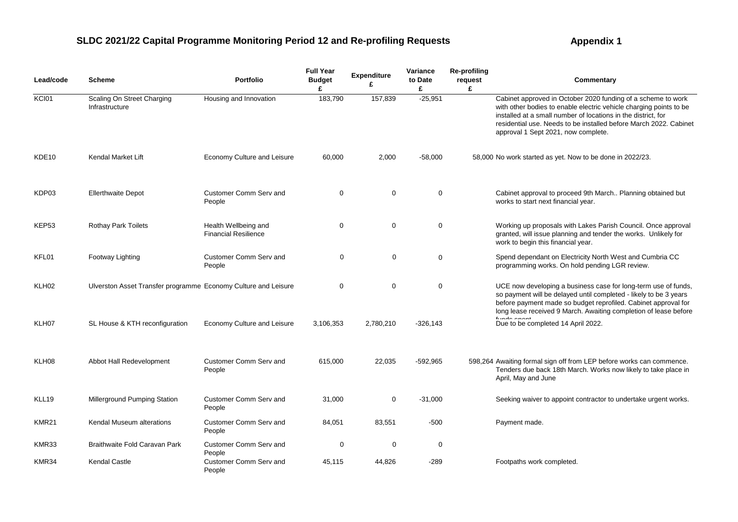| Lead/code         | <b>Scheme</b>                                                  | <b>Portfolio</b>                                    | <b>Full Year</b><br><b>Budget</b><br>£ | <b>Expenditure</b><br>£ | Variance<br>to Date<br>£ | <b>Re-profiling</b><br>request<br>£ | Commentary                                                                                                                                                                                                                                                                                                      |
|-------------------|----------------------------------------------------------------|-----------------------------------------------------|----------------------------------------|-------------------------|--------------------------|-------------------------------------|-----------------------------------------------------------------------------------------------------------------------------------------------------------------------------------------------------------------------------------------------------------------------------------------------------------------|
| KCI01             | Scaling On Street Charging<br>Infrastructure                   | Housing and Innovation                              | 183,790                                | 157,839                 | $-25,951$                |                                     | Cabinet approved in October 2020 funding of a scheme to work<br>with other bodies to enable electric vehicle charging points to be<br>installed at a small number of locations in the district, for<br>residential use. Needs to be installed before March 2022. Cabinet<br>approval 1 Sept 2021, now complete. |
| KDE <sub>10</sub> | Kendal Market Lift                                             | Economy Culture and Leisure                         | 60,000                                 | 2,000                   | $-58,000$                |                                     | 58,000 No work started as yet. Now to be done in 2022/23.                                                                                                                                                                                                                                                       |
| KDP03             | <b>Ellerthwaite Depot</b>                                      | Customer Comm Serv and<br>People                    | $\mathbf 0$                            | 0                       | $\pmb{0}$                |                                     | Cabinet approval to proceed 9th March Planning obtained but<br>works to start next financial year.                                                                                                                                                                                                              |
| KEP <sub>53</sub> | <b>Rothay Park Toilets</b>                                     | Health Wellbeing and<br><b>Financial Resilience</b> | 0                                      | $\mathbf 0$             | 0                        |                                     | Working up proposals with Lakes Parish Council. Once approval<br>granted, will issue planning and tender the works. Unlikely for<br>work to begin this financial year.                                                                                                                                          |
| KFL01             | <b>Footway Lighting</b>                                        | Customer Comm Serv and<br>People                    | 0                                      | $\mathbf 0$             | $\mathbf 0$              |                                     | Spend dependant on Electricity North West and Cumbria CC<br>programming works. On hold pending LGR review.                                                                                                                                                                                                      |
| KLH <sub>02</sub> | Ulverston Asset Transfer programme Economy Culture and Leisure |                                                     | $\mathbf 0$                            | $\mathbf 0$             | $\mathbf 0$              |                                     | UCE now developing a business case for long-term use of funds,<br>so payment will be delayed until completed - likely to be 3 years<br>before payment made so budget reprofiled. Cabinet approval for<br>long lease received 9 March. Awaiting completion of lease before                                       |
| KLH07             | SL House & KTH reconfiguration                                 | Economy Culture and Leisure                         | 3,106,353                              | 2,780,210               | $-326.143$               |                                     | Due to be completed 14 April 2022.                                                                                                                                                                                                                                                                              |
| KLH08             | Abbot Hall Redevelopment                                       | Customer Comm Serv and<br>People                    | 615,000                                | 22,035                  | -592,965                 |                                     | 598,264 Awaiting formal sign off from LEP before works can commence.<br>Tenders due back 18th March. Works now likely to take place in<br>April, May and June                                                                                                                                                   |
| KLL19             | Millerground Pumping Station                                   | Customer Comm Serv and<br>People                    | 31,000                                 | 0                       | $-31,000$                |                                     | Seeking waiver to appoint contractor to undertake urgent works.                                                                                                                                                                                                                                                 |
| KMR21             | Kendal Museum alterations                                      | Customer Comm Serv and<br>People                    | 84,051                                 | 83,551                  | $-500$                   |                                     | Payment made.                                                                                                                                                                                                                                                                                                   |
| KMR33             | Braithwaite Fold Caravan Park                                  | Customer Comm Serv and<br>People                    | 0                                      | 0                       | $\mathbf 0$              |                                     |                                                                                                                                                                                                                                                                                                                 |
| KMR34             | <b>Kendal Castle</b>                                           | Customer Comm Serv and<br>People                    | 45,115                                 | 44,826                  | $-289$                   |                                     | Footpaths work completed.                                                                                                                                                                                                                                                                                       |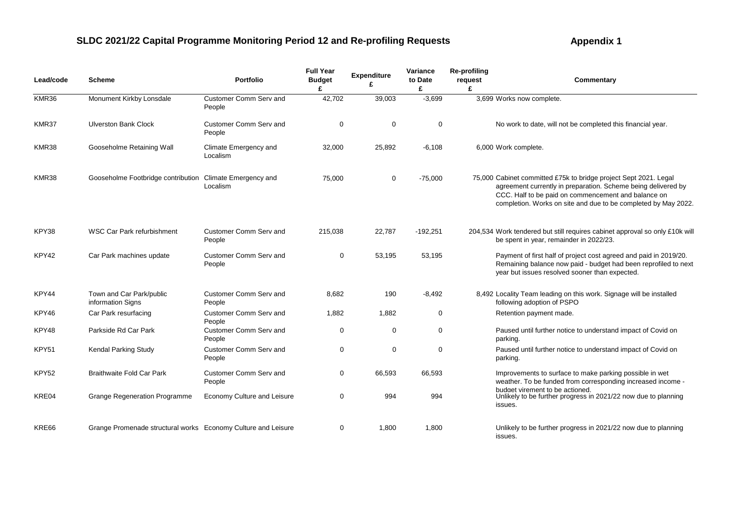| Lead/code | <b>Scheme</b>                                                 | <b>Portfolio</b>                        | <b>Full Year</b><br><b>Budget</b><br>£ | <b>Expenditure</b> | Variance<br>to Date<br>£ | <b>Re-profiling</b><br>request<br>£ | Commentary                                                                                                                                                                                                                                                 |
|-----------|---------------------------------------------------------------|-----------------------------------------|----------------------------------------|--------------------|--------------------------|-------------------------------------|------------------------------------------------------------------------------------------------------------------------------------------------------------------------------------------------------------------------------------------------------------|
| KMR36     | Monument Kirkby Lonsdale                                      | Customer Comm Serv and<br>People        | 42,702                                 | 39,003             | $-3,699$                 |                                     | 3,699 Works now complete.                                                                                                                                                                                                                                  |
| KMR37     | <b>Ulverston Bank Clock</b>                                   | <b>Customer Comm Serv and</b><br>People | $\mathbf 0$                            | $\mathbf 0$        | $\mathbf 0$              |                                     | No work to date, will not be completed this financial year.                                                                                                                                                                                                |
| KMR38     | Gooseholme Retaining Wall                                     | Climate Emergency and<br>Localism       | 32,000                                 | 25,892             | $-6,108$                 |                                     | 6,000 Work complete.                                                                                                                                                                                                                                       |
| KMR38     | Gooseholme Footbridge contribution Climate Emergency and      | Localism                                | 75,000                                 | 0                  | $-75,000$                |                                     | 75,000 Cabinet committed £75k to bridge project Sept 2021. Legal<br>agreement currently in preparation. Scheme being delivered by<br>CCC. Half to be paid on commencement and balance on<br>completion. Works on site and due to be completed by May 2022. |
| KPY38     | <b>WSC Car Park refurbishment</b>                             | Customer Comm Serv and<br>People        | 215,038                                | 22,787             | $-192,251$               |                                     | 204,534 Work tendered but still requires cabinet approval so only £10k will<br>be spent in year, remainder in 2022/23.                                                                                                                                     |
| KPY42     | Car Park machines update                                      | Customer Comm Serv and<br>People        | $\mathbf 0$                            | 53,195             | 53,195                   |                                     | Payment of first half of project cost agreed and paid in 2019/20.<br>Remaining balance now paid - budget had been reprofiled to next<br>year but issues resolved sooner than expected.                                                                     |
| KPY44     | Town and Car Park/public<br>information Signs                 | Customer Comm Serv and<br>People        | 8,682                                  | 190                | $-8,492$                 |                                     | 8,492 Locality Team leading on this work. Signage will be installed<br>following adoption of PSPO                                                                                                                                                          |
| KPY46     | Car Park resurfacing                                          | Customer Comm Serv and<br>People        | 1,882                                  | 1,882              | $\mathbf 0$              |                                     | Retention payment made.                                                                                                                                                                                                                                    |
| KPY48     | Parkside Rd Car Park                                          | Customer Comm Serv and<br>People        | 0                                      | 0                  | $\mathbf 0$              |                                     | Paused until further notice to understand impact of Covid on<br>parking.                                                                                                                                                                                   |
| KPY51     | <b>Kendal Parking Study</b>                                   | Customer Comm Serv and<br>People        | $\mathbf 0$                            | $\Omega$           | $\mathbf 0$              |                                     | Paused until further notice to understand impact of Covid on<br>parking.                                                                                                                                                                                   |
| KPY52     | <b>Braithwaite Fold Car Park</b>                              | Customer Comm Serv and<br>People        | $\mathbf 0$                            | 66,593             | 66,593                   |                                     | Improvements to surface to make parking possible in wet<br>weather. To be funded from corresponding increased income -<br>budget virement to be actioned.                                                                                                  |
| KRE04     | <b>Grange Regeneration Programme</b>                          | Economy Culture and Leisure             | $\mathbf 0$                            | 994                | 994                      |                                     | Unlikely to be further progress in 2021/22 now due to planning<br>issues.                                                                                                                                                                                  |
| KRE66     | Grange Promenade structural works Economy Culture and Leisure |                                         | $\mathbf 0$                            | 1,800              | 1,800                    |                                     | Unlikely to be further progress in 2021/22 now due to planning<br>issues.                                                                                                                                                                                  |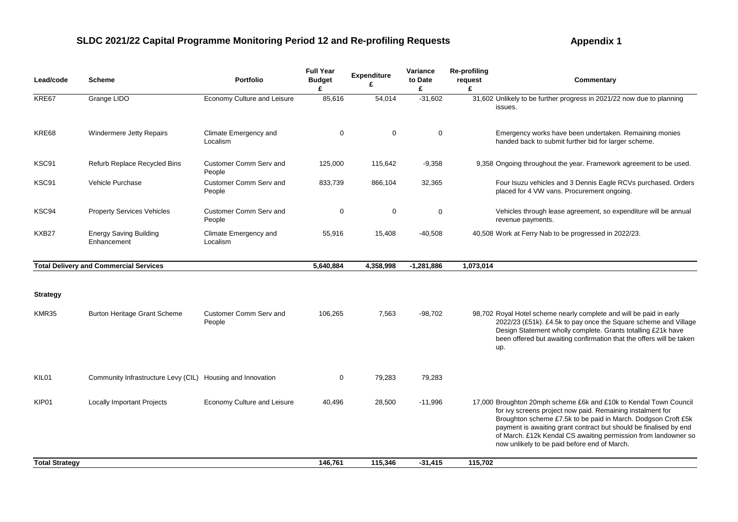| Lead/code             | Scheme                                                     | <b>Portfolio</b>                  | <b>Full Year</b><br><b>Budget</b><br>£ | Expenditure<br>£ | Variance<br>to Date<br>£ | <b>Re-profiling</b><br>request<br>£ | Commentary                                                                                                                                                                                                                                                                                                                                                                              |
|-----------------------|------------------------------------------------------------|-----------------------------------|----------------------------------------|------------------|--------------------------|-------------------------------------|-----------------------------------------------------------------------------------------------------------------------------------------------------------------------------------------------------------------------------------------------------------------------------------------------------------------------------------------------------------------------------------------|
| KRE67                 | Grange LIDO                                                | Economy Culture and Leisure       | 85,616                                 | 54,014           | $-31,602$                |                                     | 31,602 Unlikely to be further progress in 2021/22 now due to planning<br>issues.                                                                                                                                                                                                                                                                                                        |
| KRE68                 | <b>Windermere Jetty Repairs</b>                            | Climate Emergency and<br>Localism | $\mathbf 0$                            | $\mathbf 0$      | $\mathbf 0$              |                                     | Emergency works have been undertaken. Remaining monies<br>handed back to submit further bid for larger scheme.                                                                                                                                                                                                                                                                          |
| KSC91                 | <b>Refurb Replace Recycled Bins</b>                        | Customer Comm Serv and<br>People  | 125,000                                | 115,642          | $-9,358$                 |                                     | 9,358 Ongoing throughout the year. Framework agreement to be used.                                                                                                                                                                                                                                                                                                                      |
| KSC91                 | Vehicle Purchase                                           | Customer Comm Serv and<br>People  | 833,739                                | 866,104          | 32,365                   |                                     | Four Isuzu vehicles and 3 Dennis Eagle RCVs purchased. Orders<br>placed for 4 VW vans. Procurement ongoing.                                                                                                                                                                                                                                                                             |
| KSC94                 | <b>Property Services Vehicles</b>                          | Customer Comm Serv and<br>People  | 0                                      | $\mathbf 0$      | $\mathbf 0$              |                                     | Vehicles through lease agreement, so expenditure will be annual<br>revenue payments.                                                                                                                                                                                                                                                                                                    |
| KXB27                 | <b>Energy Saving Building</b><br>Enhancement               | Climate Emergency and<br>Localism | 55,916                                 | 15,408           | $-40,508$                |                                     | 40,508 Work at Ferry Nab to be progressed in 2022/23.                                                                                                                                                                                                                                                                                                                                   |
|                       | <b>Total Delivery and Commercial Services</b>              |                                   | 5,640,884                              | 4,358,998        | $-1,281,886$             | 1,073,014                           |                                                                                                                                                                                                                                                                                                                                                                                         |
| <b>Strategy</b>       |                                                            |                                   |                                        |                  |                          |                                     |                                                                                                                                                                                                                                                                                                                                                                                         |
| KMR35                 | <b>Burton Heritage Grant Scheme</b>                        | Customer Comm Serv and<br>People  | 106,265                                | 7,563            | $-98,702$                |                                     | 98,702 Royal Hotel scheme nearly complete and will be paid in early<br>2022/23 (£51k). £4.5k to pay once the Square scheme and Village<br>Design Statement wholly complete. Grants totalling £21k have<br>been offered but awaiting confirmation that the offers will be taken<br>up.                                                                                                   |
| KIL01                 | Community Infrastructure Levy (CIL) Housing and Innovation |                                   | $\mathbf 0$                            | 79,283           | 79,283                   |                                     |                                                                                                                                                                                                                                                                                                                                                                                         |
| KIP01                 | <b>Locally Important Projects</b>                          | Economy Culture and Leisure       | 40,496                                 | 28,500           | $-11,996$                |                                     | 17,000 Broughton 20mph scheme £6k and £10k to Kendal Town Council<br>for ivy screens project now paid. Remaining instalment for<br>Broughton scheme £7.5k to be paid in March. Dodgson Croft £5k<br>payment is awaiting grant contract but should be finalised by end<br>of March. £12k Kendal CS awaiting permission from landowner so<br>now unlikely to be paid before end of March. |
| <b>Total Strategy</b> |                                                            |                                   | 146,761                                | 115,346          | $-31,415$                | 115,702                             |                                                                                                                                                                                                                                                                                                                                                                                         |